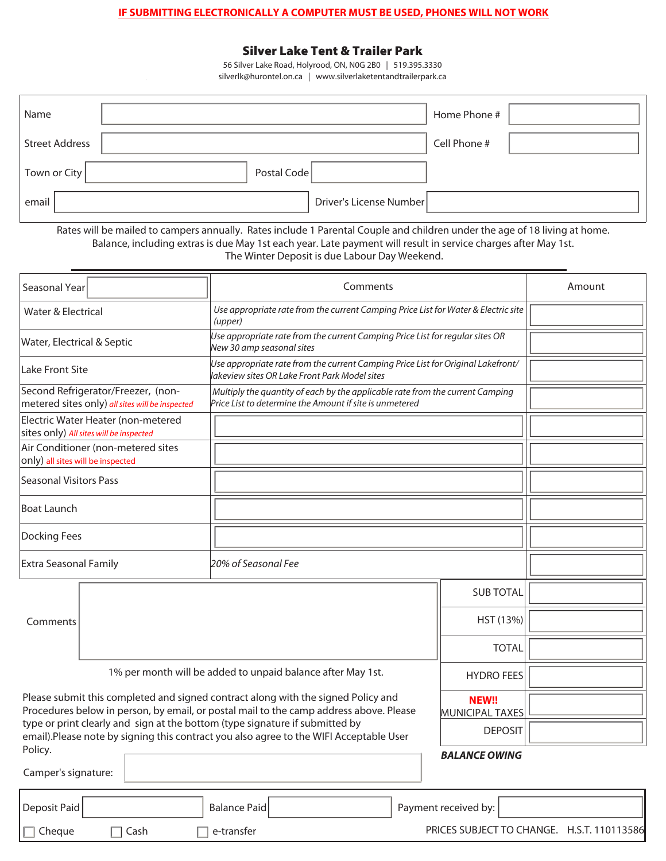## **IF SUBMITTING ELECTRONICALLY A COMPUTER MUST BE USED, PHONES WILL NOT WORK**

## **Silver Lake Tent & Trailer Park**

56 Silver Lake Road, Holyrood, ON, N0G 2B0 | 519.395.3330 silverlk@hurontel.on.ca | www.silverlaketentandtrailerpark.ca

| Name                  |                         | Home Phone # |
|-----------------------|-------------------------|--------------|
| <b>Street Address</b> |                         | Cell Phone # |
| Town or City          | Postal Code             |              |
| email                 | Driver's License Number |              |

Rates will be mailed to campers annually. Rates include 1 Parental Couple and children under the age of 18 living at home. Balance, including extras is due May 1st each year. Late payment will result in service charges after May 1st. The Winter Deposit is due Labour Day Weekend.

| Seasonal Year                                                                                                                                                               | Comments                                                                                                                                                       |                      | Amount |  |
|-----------------------------------------------------------------------------------------------------------------------------------------------------------------------------|----------------------------------------------------------------------------------------------------------------------------------------------------------------|----------------------|--------|--|
| Water & Electrical                                                                                                                                                          | Use appropriate rate from the current Camping Price List for Water & Electric site<br>(upper)                                                                  |                      |        |  |
| Water, Electrical & Septic                                                                                                                                                  | Use appropriate rate from the current Camping Price List for regular sites OR<br>New 30 amp seasonal sites                                                     |                      |        |  |
| Lake Front Site                                                                                                                                                             | Use appropriate rate from the current Camping Price List for Original Lakefront/<br>lakeview sites OR Lake Front Park Model sites                              |                      |        |  |
| Second Refrigerator/Freezer, (non-<br>metered sites only) all sites will be inspected                                                                                       | Multiply the quantity of each by the applicable rate from the current Camping<br>$\overline{\mathsf{Price}}$ List to determine the Amount if site is unmetered |                      |        |  |
| Electric Water Heater (non-metered<br>sites only) All sites will be inspected                                                                                               |                                                                                                                                                                |                      |        |  |
| Air Conditioner (non-metered sites<br>only) all sites will be inspected                                                                                                     |                                                                                                                                                                |                      |        |  |
| Seasonal Visitors Pass                                                                                                                                                      |                                                                                                                                                                |                      |        |  |
| <b>Boat Launch</b>                                                                                                                                                          |                                                                                                                                                                |                      |        |  |
| Docking Fees                                                                                                                                                                |                                                                                                                                                                |                      |        |  |
| <b>Extra Seasonal Family</b>                                                                                                                                                | 20% of Seasonal Fee                                                                                                                                            |                      |        |  |
|                                                                                                                                                                             |                                                                                                                                                                | <b>SUB TOTAL</b>     |        |  |
| Comments                                                                                                                                                                    |                                                                                                                                                                | HST (13%)            |        |  |
|                                                                                                                                                                             |                                                                                                                                                                | <b>TOTAL</b>         |        |  |
| 1% per month will be added to unpaid balance after May 1st.<br><b>HYDRO FEES</b>                                                                                            |                                                                                                                                                                |                      |        |  |
| Please submit this completed and signed contract along with the signed Policy and<br>Procedures below in person, by email, or postal mail to the camp address above. Please |                                                                                                                                                                |                      |        |  |
| type or print clearly and sign at the bottom (type signature if submitted by<br>email).Please note by signing this contract you also agree to the WIFI Acceptable User      | <b>DEPOSIT</b>                                                                                                                                                 |                      |        |  |
| Policy.<br>Camper's signature:                                                                                                                                              |                                                                                                                                                                | <b>BALANCE OWING</b> |        |  |
| Deposit Paid<br>Balance Paid<br>Payment received by:                                                                                                                        |                                                                                                                                                                |                      |        |  |

PRICES SUBJECT TO CHANGE. H.S.T. 110113586

Cheque Cash e-transfer